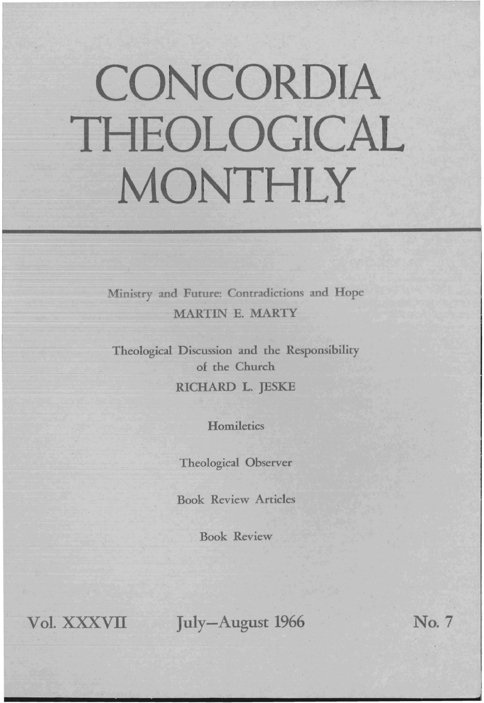# **CONCORDIA**  . **THEOLOGICAL**  MONTHLY

Ministry and Future: Contradictions and Hope MARTIN E. MARTY

Theological Discussion and the Responsibility of the Church RICHARD L. JESKE

**Homiletics** 

Theological Observer

Book Review Articles

Book Review

Vol. XXXVII July-August 1966 No. 7

d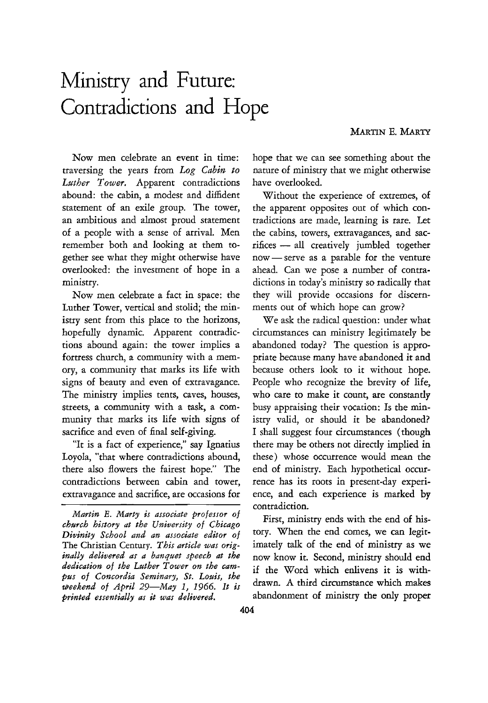# Ministry and Future: Contradictions and Hope

Now men celebrate an event in time: traversing the years from *Log Cabin to Luther Tower.* Apparent contradictions abound: the cabin, a modest and diffident statement of an exile group. The tower, an ambitious and almost proud statement of a people with a sense of arrival. Men remember both and looking at them together see what they might otherwise have overlooked: the investment of hope in a ministry.

Now men celebrate a fact in space: the Luther Tower, vertical and stolid; the ministry sent from this place to the horizons, hopefully dynamic. Apparent contradictions abound again: the tower implies a fortress church, a community with a memory, a community that marks its life with signs of beauty and even of extravagance. The ministry implies tents, caves, houses, streets, a community with a task, a community that marks its life with signs of sacrifice and even of final self-giving.

"It is a fact of experience," say Ignatius Loyola, "that where contradictions abound, there also flowers the fairest hope." The contradictions between cabin and tower, extravagance and sacrifice, are occasions for

*Martin E. Marty is associate professor of church history at the University of Chicago Divinity School and an associate editor of*  The Christian Century. *This article was originally delivered as a banquet speech at the dedication of the Luther Tower on the campus of Concordia Seminary, St. Louis, the weekend of April 29-May* I, 1966. *It is printed essentially as it was delivered.* 

hope that we can see something about the nature of ministry that we might otherwise have overlooked.

Without the experience of extremes, of the apparent opposites out of which contradictions are made, learning is rare. Let the cabins, towers, extravagances, and sacrifices - all creatively jumbled together now - serve as a parable for the venture ahead. Can we pose a number of contradictions in today's ministry so radically that they will provide occasions for discernments out of which hope can grow?

We ask the radical question: under what circumstances can ministry legitimately be abandoned today? The question is appropriate because many have abandoned it and because others look to it without hope. People who recognize the brevity of life, who care to make it count, are constantly busy appraising their vocation: Is the ministry valid, or should it be abandoned? I shall suggest four circumstances (though there may be others not directly implied in these) whose occurrence would mean the end of ministry. Each hypothetical occurrence has its roots in present-day experience, and each experience is marked by contradiction.

First, ministry ends with the end of history. When the end comes, we can legitimately talk of the end of ministry as we now know it. Second, ministry should end if the Word which enlivens it is withdrawn. A third circumstance which makes abandonment of ministry the only proper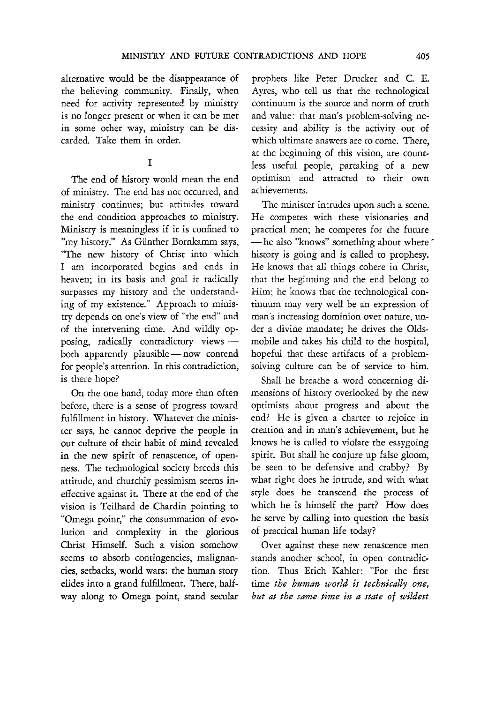alternative would be the disappearance of the believing community. Finally, when need for activity represented by ministry is no longer present or when it can be met in some other way, ministry can be discarded. Take them in order.

### I

The end of history would mean the end of ministry. The end has not occurred, and ministry continues; but attitudes toward the end condition approaches to ministry. Ministry is meaningless if it is confined to "my history." As Giinther Bomkamm says, "The new history of Christ into which I am incorporated begins and ends in heaven; in its basis and goal it radically surpasses my history and the understanding of my existence." Approach to ministry depends on one's view of "the end" and of the intervening time. And wildly opposing, radically contradictory views both apparently plausible - now contend for people's attention. In this contradiction, is there hope?

On the one hand, today more than often before, there is a sense of progress toward fulfillment in history. Whatever the minister says, he cannot deprive the people in our culture of their habit of mind revealed in the new spirit of renascence, of openness. The technological society breeds this attitude, and churchly pessimism seems ineffective against it. There at the end of the vision is Teilhard de Chardin pointing to "Omega point," the consummation of evolution and complexity in the glorious Christ Himself. Such a vision somehow seems to absorb contingencies, malignancies, setbacks, world wars: the human story elides into a grand fulfillment. There, halfway along to Omega point, stand secular

prophets like Peter Drucker and C. E. Ayres, who tell us that the technological continuum is the source and norm of truth and value: that man's problem-solving necessity and ability is the activity out of which ultimate answers are to come. There, at the beginning of this vision, are countless useful people, partaking of a new optimism and attracted to their own achievements.

The minister intrudes upon such a scene. He competes with these visionaries and practical men; he competes for the future -he also "knows" something about where " history is going and is called to prophesy. He knows that all things cohere in Christ, that the beginning and the end belong to Him; he knows that the technological continuum may very well be an expression of man's increasing dominion over nature, under a divine mandate; he drives the Oldsmobile and takes his child to the hospital, hopeful that these artifacts of a problemsolving culture can be of service to him.

Shall he breathe a word concerning dimensions of history overlooked by the new optimists about progress and about the end? He is given a charter to rejoice in creation and in man's achievement, but he knows he is called to violate the easygoing spirit. But shall he conjure up false gloom, be seen to be defensive and crabby? By what right does he intrude, and with what style does he transcend the process of which he is himself the part? How does he serve by calling into question the basis of practical human life today?

Over against these new renascence men stands another school, in open contradiction. Thus Erich Kahler: "For the first time *the human W01'ld is technically one, but at the same time in* ~ *state of wildest*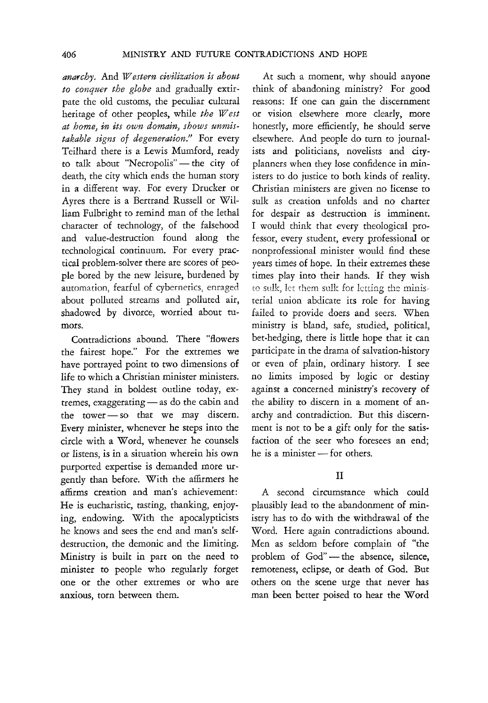*anarchy.* And *Western civilization is about to conquer the globe* and gradually extirpate the old customs, the peculiar cultural heritage of other peoples, while *the West at home, in its own domain, shows unmistakable signs of degeneration.!!* For every Teilhard there is a Lewis Mumford, ready to talk about "Necropolis" - the city of death, the city which ends the human story in a different way. For every Drucker or Ayres there is a Bertrand Russell or William Fulbright to remind man of the lethal character of technology, of the falsehood and value-destruction found along the technological continuum. For every practical problem-solver there are scores of people bored by the new leisure, burdened by automation, fearful of cybernetics. enraged about polluted streams and polluted air, shadowed by divorce, worried about tumors.

Contradictions abound. There "flowers the fairest hope." For the extremes we have portrayed point to two dimensions of life to which a Christian minister ministers. They stand in boldest outline today, ex $t$ remes, exaggerating  $-$  as do the cabin and the tower  $-$  so that we may discern. Every minister, whenever he steps into the circle with a Word., whenever he counsels or listens, is in a situation wherein his own purported expertise is demanded more urgently than before. With the affirmers he affirms creation and man's achievement: He is eucharistic, tasting, thanking, enjoying, endowing. With the apocalypticists he knows and sees the end and man's selfdestruction, the demonic and the limiting. Ministry is built in part on the need to minister to people who regularly forget one or the other extremes or who are anxious, torn between them.

At such a moment, why should anyone think of abandoning ministry? For good reasons: If one can gain the discernment or vision elsewhere more clearly, more honestly, more efficiently, he should serve elsewhere. And people do turn to journalists and politicians, novelists and cityplanners when they lose confidence in ministers to do justice to both kinds of reality. Christian ministers are given no license to sulk as creation unfolds and no charter for despair as destruction is imminent. I would think that every theological professor, every student, every professional or nonprofessional minister would find these years times of hope. In their extremes these times play into their hands. If they wish to sulk, let them sulk for letting the ministerial union abdicate its role for having failed to provide doers and seers. When ministry is bland, safe, studied, political, bet-hedging, there is little hope that it can participate in the drama of salvation-history or even of plain, ordinary history. I see no limits imposed by logic or destiny against a concerned ministry's recovery of the ability to discern in a moment of anarchy and contradiction. But this discernment is not to be a gift only for the satisfaction of the seer who foresees an end; he is a minister  $-$  for others.

#### II

A second circumstance which could plausibly lead to the abandonment of ministry has to do with the withdrawal of the Word. Here again contradictions abound. Men as seldom before complain of "the problem of God"-the absence, silence, remoteness, eclipse, or death of God. But others on the scene urge that never has man been better poised to hear the Word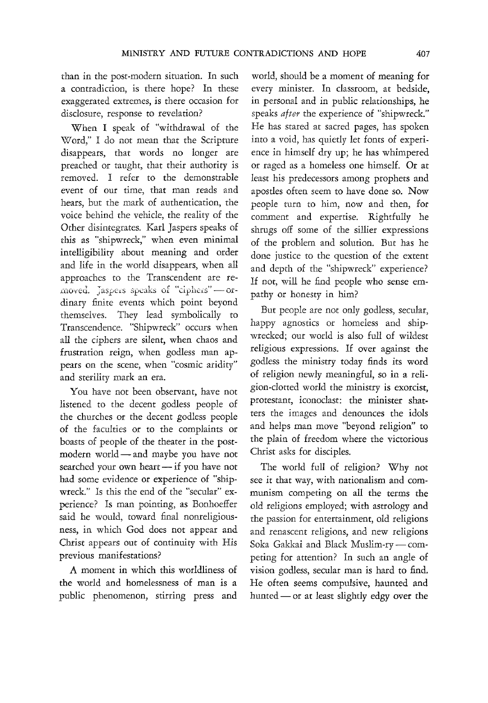than in the post-modern situation. In such a contradiction, is there hope? In these exaggerated extremes, is there occasion for disclosure, response to revelation?

When I speak of "withdrawal of the Word," I do not mean that the Scripture disappears, that words no longer are preached or taught, that their authority is removed. I refer to the demonstrable event of our time, that man reads and hears, but the mark of authentication, the voice behind the vehicle, the reality of the Other disintegrates. Karl Jaspers speaks of this as "shipwreck," when even minimal intelligibility about meaning and order and life in the world disappears, when all approaches to the Transcendent are removed. Jaspers speaks of "ciphers"-ordinary finite events which point beyond themselves. They lead symbolically to Transcendence. "Shipwreck" occurs when all the ciphers are silent, when chaos and frustration reign, when godless man appears on the scene, when "cosmic aridity" and sterility mark an era.

You have not been observant, have not listened to the decent godless people of the churches or the decent godless people of the faculties or to the complaints or boasts of people of the theater in the postmodern world - and maybe you have not searched your own heart - if you have not had some evidence or experience of "shipwreck." Is this the end of the "secular" experience? Is man pointing, as Bonhoeffer said he would, toward final nonreligiousness, in which God does not appear and Christ appears out of continuity with His previous manifestations?

.A. moment in which this worldliness of the world and homelessness of man is a public phenomenon, stirring press and world, should be a moment of meaning for every minister. In classroom, at bedside, in personal and in public relationships, he speaks *after* the experience of "shipwreck." He has stared at sacred pages, has spoken into a void, has quietly let fonts of experience in himself dry up; he has whimpered or raged as a homeless one himself. Or at least his predecessors among prophets and apostles often seem to have done so. Now people turn to him, now and then, for comment and expertise. Rightfully he shrugs off some of the sillier expressions of the problem and solution. But has he done justice to the question of the extent and depth of the "shipwreck" experience? If not, will he find people who sense empathy or honesty in him?

But people are not only godless, secular, happy agnostics or homeless and shipwrecked; our world is also full of wildest religious expressions. If over against the godless the ministry today finds its word of religion newly meaningful, so in a religion-clotted world the ministry is exorcist, protestant, iconoclast: the minister shatters the images and denounces the idols and helps man move "beyond religion" to the plain of freedom where the victorious Christ asks for disciples.

The world full of religion? Why not *see* it that way, with nationalism and communism competing on all the terms the old religions employed; with astrology and the passion for entertainment, old religions and renascent religions, and new religions Soka Gakkai and Black Muslim-ry-competing for attention? In such an angle of vision godless, secular man is hard to find. He often seems compulsive, haunted and hunted - or at least slightly edgy over the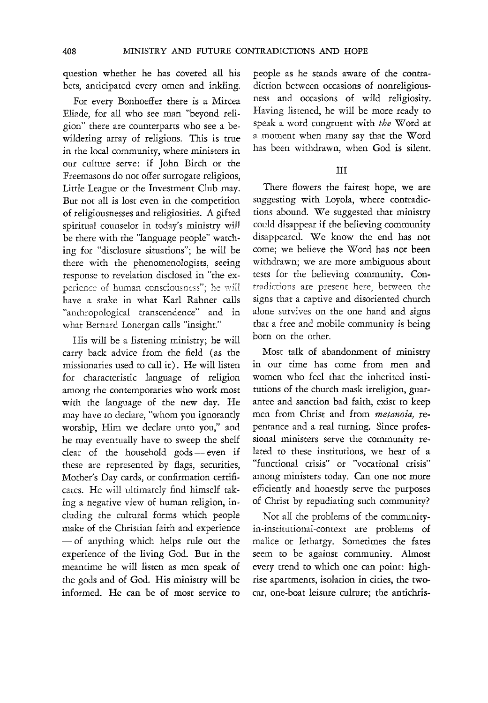question whether he has covered all his bets, anticipated every omen and inkling.

For every Bonhoeffer there is a Mircea Eliade, for all who see man "beyond religion" there are counterparts who see a bewildering array of religions. This is true in the local community, where ministers in our culture serve: if John Birch or the Freemasons do not offer surrogate religions, Little League or the Investment Club may. But not all is lost even in the competition of religiousnesses and religiosities. A gifted spiritual counselor in today's ministry will be there with the "language people" watching for "disclosure situations"; he will be there with the phenomenologists, seeing response to revelation disclosed in "the experience of human consciousness"; he will have a stake in what Karl Rahner calls "anthropological transcendence" and in what Bernard Lonergan calls "insight."

His will be a listening ministry; he will carry back advice from the field (as the missionaries used to call it). He will listen for characteristic language of religion among the contemporaries who work most with the language of the new day. He may have to declare, "whom you ignorantly worship, Him we declare unto you," and he may eventually have to sweep the shelf clear of the household gods - even if these are represented by flags, securities, Mother's Day cards, or confirmation certificates. He will ultimately find himself taking a negative view of human religion, including the cultural forms which people make of the Christian faith and experience - of anything which helps rule out the experience of the living God. But in the meantime he will listen as men speak of the gods and of God. His ministry will be informed. He can be of most service to

people as he stands aware of the contradiction between occasions of nonreligiousness and occasions of wild religiosity. Having listened, he will be more ready to speak a word congruent with *the* Word at a moment when many say that the Word has been withdrawn, when God is silent.

## III

There flowers the fairest hope, we are suggesting with Loyola, where contradictions abound. We suggested that ministry could disappear if the believing community disappeared. We know the end has not come; we believe the Word has not been withdrawn; we are more ambiguous about tests for the believing community. Contradictions are present here, between the signs that a captive and disoriented church alone survives on the one hand and signs that a free and mobile community is being born on the other.

Most talk of abandonment of ministry in our time has come from men and women who feel that the inherited institutions of the church mask irreligion, guarantee and sanction bad faith, exist to keep men from Christ and from *metanoia,* repentance and a real turning. Since professional ministers serve the community related to these institutions, we hear of a "functional crisis" or "vocational crisis" among ministers today. Can one not more efficiently and honestly serve the purposes of Christ by repudiating such community?

Not all the problems of the communityin-institutional-context are problems of malice or lethargy. Sometimes the fates seem to be against community. Almost every trend to which one can point: highrise apartments, isolation in cities, the twocar, one-boat leisure culture; the antichris-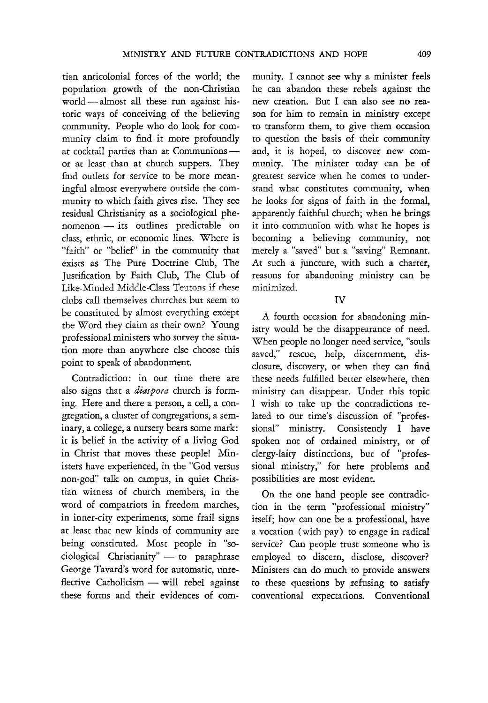tian anticolonial forces of the world; the population growth of the non-Christian world - almost all these run against historic ways of conceiving of the believing community. People who do look for community claim to find it more profoundly at cocktail parties than at Communionsor at least than at church suppers. They find outlets for service to be more meaningful almost everywhere outside the community to which faith gives rise. They see residual Christianity as a sociological phenomenon - its outlines predictable on class, ethnic, or economic lines. Where is "faith" or "belief" in the community that exists as The Pure Doctrine Club, The Justification by Faith Club, The Club of Like-Minded Middle-Class Teutom if these clubs call themselves churches but seem to be constituted by almost everything except the Word they claim as their own? Young professional ministers who survey the situation more than anywhere else choose this point to speak of abandonment.

Contradiction: in our time there are also signs that a *diaspora* church is forming. Here and there a person, a ceil, a congregation, a cluster of congregations, a seminary, a college, a nursery bears some mark: it is belief in the activity of a living God in Christ that moves these people! Ministers have experienced, in the "God versus non-god" talk on campus, in quiet Christian witness of church members, in the word of compatriots in freedom marches, in inner-city experiments, some frail signs at least that new kinds of community are being constituted. Most people in "sociological Christianity" - to paraphrase George Tavard's word for automatic, unreflective Catholicism - will rebel against these forms and their evidences of community. I cannot see why a minister feels he can abandon these rebels against the new creation. But I can also see no reason for him to remain in ministry except to transform them, to give them occasion to question the basis of their community and, it is hoped, to discover new community. The minister today can be of greatest service when he comes to understand what constitutes community, when he looks for signs of faith in the formal, apparently faithful church; when he brings it into communion with what he hopes is becoming a believing community, not merely a "saved" but a "saving" Remnant. At such a juncture, with such a charter, reasons for abandoning ministry can be minimized.

#### IV

A fourth occasion for abandoning ministry would be the disappearance of need. When people no longer need service, "souls saved," rescue, help, discernment, disclosure, discovery, or when they can find these needs fulfilled better elsewhere, then ministry can disappear. Under this topic I wish to take up the contradictions related to our time's discussion of "professional" ministry. Consistently I have spoken not of ordained ministry, or of clergy-laity distinctions, but of "professional ministry," for here problems and possibilities are most evident.

On the one hand people see contradiction in the term "professional ministry" itself; how can one be a professional, have a vocation (with pay) to engage in radical service? Can people trust someone who is employed to discern, disclose, discover? Ministers can do much to provide answers to these questions by refusing to satisfy conventional expectations. Conventional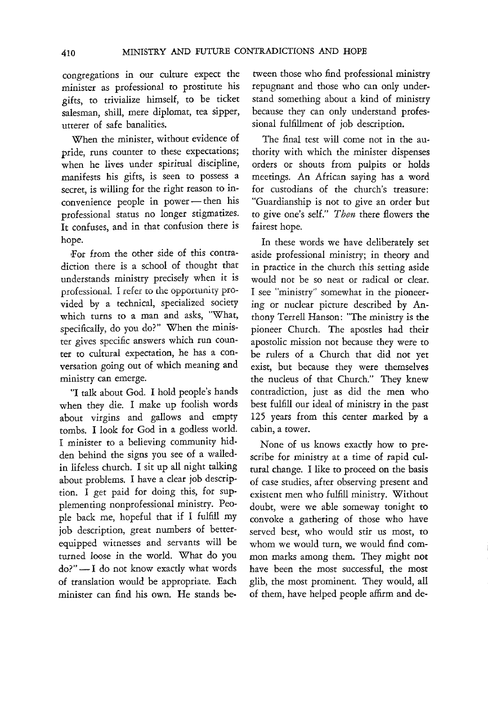congregations in our culture expect the minister as professional to prostitute his gifts, to trivialize himself, to be ticket salesman, shill, mere diplomat, tea sipper, utterer of safe banalities.

When the minister, without evidence of pride, mns counter to these expectations; when he lives under spiritual discipline, manifests his gifts, is seen to possess a secret, is willing for the right reason to inconvenience people in power-then his professional status no longer stigmatizes. It confuses, and in that confusion there is hope.

For from the other side of this contradiction there is a school of thought that understands ministry precisely when it is professional. I refer to the opportunity provided by a technical, specialized society which turns to a man and asks, "What, specifically, do you do?" When the minister gives specific answers which mn counter to cultural expectation, he has a conversation going out of which meaning and ministry can emerge.

"I talk about God. I hold people's hands when they die. I make up foolish words about virgins and gallows and empty tombs. I look for God in a godless world. I minister to a believing community hidden behind the signs you see of a walledin lifeless church. I sit up all night talking about problems. I have a clear job description. I get paid for doing this, for supplementing nonprofessional ministry. People back me, hopeful that if I fulfill my job description, great numbers of betterequipped witnesses and servants will be turned loose in the world. What do you  $do$ ?" $- I$  do not know exactly what words of translation would be appropriate. Each minister can find his own. He stands between those who find professional ministry repugnant and those who can only understand something about a kind of ministry because they can only understand professional fulfillment of job description.

The final test will come not in the authority with which the minister dispenses orders or shouts from pulpits or holds meetings. An African saying has a word for custodians of the church's treasure: "Guardianship is not to give an order but to give one's self." *Then* there flowers the fairest hope.

In these words we have deliberately set aside professional ministry; in theory and in practice in the church this setting aside would not be so neat or radical or clear. I see "ministry" somewhat in the pioneering or nuclear picture described by Anthony Terrell Hanson: "The ministry is the pioneer Church. The apostles had their apostolic mission not because they were to be rulers of a Church that did not yet exist, but because they were themselves the nucleus of that Church." They knew contradiction, just as did the men who best fulfill our ideal of ministry in the past 125 years from this center marked by a cabin, a tower.

None of us knows exactly how to prescribe for ministry at a time of rapid cultural change. I like to proceed on the basis of case studies, after observing present and existent men who fulfill ministry. Without doubt, were we able someway tonight to convoke a gathering of those who have served best, who would stir us most, to whom we would turn, we would find common marks among them. They might not have been the most successful, the most glib, the most prominent. They would, all of them, have helped people affirm and de